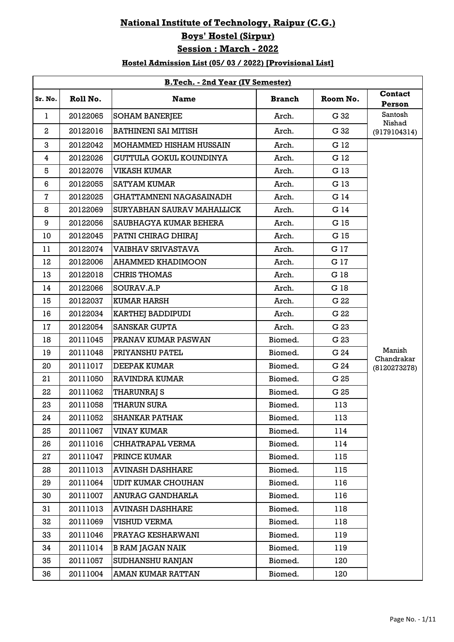## **National Institute of Technology, Raipur (C.G.) Boys' Hostel (Sirpur) Session : March - 2022**

## **Hostel Admission List (05/ 03 / 2022) [Provisional List]**

|              | <b>B.Tech. - 2nd Year (IV Semester)</b> |                                |               |          |                          |  |  |  |
|--------------|-----------------------------------------|--------------------------------|---------------|----------|--------------------------|--|--|--|
| Sr. No.      | Roll No.                                | <b>Name</b>                    | <b>Branch</b> | Room No. | <b>Contact</b><br>Person |  |  |  |
| 1            | 20122065                                | <b>SOHAM BANERJEE</b>          | Arch.         | G 32     | Santosh<br>Nishad        |  |  |  |
| $\mathbf{2}$ | 20122016                                | <b>BATHINENI SAI MITISH</b>    | Arch.         | G 32     | (9179104314)             |  |  |  |
| 3            | 20122042                                | MOHAMMED HISHAM HUSSAIN        | Arch.         | G 12     |                          |  |  |  |
| 4            | 20122026                                | <b>GUTTULA GOKUL KOUNDINYA</b> | Arch.         | G 12     |                          |  |  |  |
| 5            | 20122076                                | <b>VIKASH KUMAR</b>            | Arch.         | G 13     |                          |  |  |  |
| 6            | 20122055                                | <b>SATYAM KUMAR</b>            | Arch.         | G 13     |                          |  |  |  |
| 7            | 20122025                                | <b>GHATTAMNENI NAGASAINADH</b> | Arch.         | G 14     |                          |  |  |  |
| 8            | 20122069                                | SURYABHAN SAURAV MAHALLICK     | Arch.         | G 14     |                          |  |  |  |
| 9            | 20122056                                | <b>SAUBHAGYA KUMAR BEHERA</b>  | Arch.         | G 15     |                          |  |  |  |
| 10           | 20122045                                | PATNI CHIRAG DHIRAJ            | Arch.         | G 15     |                          |  |  |  |
| 11           | 20122074                                | <b>VAIBHAV SRIVASTAVA</b>      | Arch.         | G 17     |                          |  |  |  |
| 12           | 20122006                                | <b>AHAMMED KHADIMOON</b>       | Arch.         | G 17     |                          |  |  |  |
| 13           | 20122018                                | <b>CHRIS THOMAS</b>            | Arch.         | G 18     |                          |  |  |  |
| 14           | 20122066                                | SOURAV.A.P                     | Arch.         | G 18     |                          |  |  |  |
| 15           | 20122037                                | <b>KUMAR HARSH</b>             | Arch.         | G 22     |                          |  |  |  |
| 16           | 20122034                                | <b>KARTHEJ BADDIPUDI</b>       | Arch.         | G 22     |                          |  |  |  |
| 17           | 20122054                                | <b>SANSKAR GUPTA</b>           | Arch.         | G 23     |                          |  |  |  |
| 18           | 20111045                                | PRANAV KUMAR PASWAN            | Biomed.       | G 23     |                          |  |  |  |
| 19           | 20111048                                | PRIYANSHU PATEL                | Biomed.       | G 24     | Manish<br>Chandrakar     |  |  |  |
| 20           | 20111017                                | <b>DEEPAK KUMAR</b>            | Biomed.       | G 24     | (8120273278)             |  |  |  |
| 21           | 20111050                                | <b>RAVINDRA KUMAR</b>          | Biomed.       | G 25     |                          |  |  |  |
| 22           | 20111062                                | <b>THARUNRAJ S</b>             | Biomed.       | G 25     |                          |  |  |  |
| 23           | 20111058                                | <b>THARUN SURA</b>             | Biomed.       | 113      |                          |  |  |  |
| 24           | 20111052                                | <b>SHANKAR PATHAK</b>          | Biomed.       | 113      |                          |  |  |  |
| 25           | 20111067                                | <b>VINAY KUMAR</b>             | Biomed.       | 114      |                          |  |  |  |
| 26           | 20111016                                | CHHATRAPAL VERMA               | Biomed.       | 114      |                          |  |  |  |
| 27           | 20111047                                | PRINCE KUMAR                   | Biomed.       | 115      |                          |  |  |  |
| 28           | 20111013                                | <b>AVINASH DASHHARE</b>        | Biomed.       | 115      |                          |  |  |  |
| 29           | 20111064                                | <b>UDIT KUMAR CHOUHAN</b>      | Biomed.       | 116      |                          |  |  |  |
| 30           | 20111007                                | <b>ANURAG GANDHARLA</b>        | Biomed.       | 116      |                          |  |  |  |
| 31           | 20111013                                | <b>AVINASH DASHHARE</b>        | Biomed.       | 118      |                          |  |  |  |
| 32           | 20111069                                | <b>VISHUD VERMA</b>            | Biomed.       | 118      |                          |  |  |  |
| 33           | 20111046                                | PRAYAG KESHARWANI              | Biomed.       | 119      |                          |  |  |  |
| 34           | 20111014                                | <b>B RAM JAGAN NAIK</b>        | Biomed.       | 119      |                          |  |  |  |
| 35           | 20111057                                | SUDHANSHU RANJAN               | Biomed.       | 120      |                          |  |  |  |
| 36           | 20111004                                | AMAN KUMAR RATTAN              | Biomed.       | 120      |                          |  |  |  |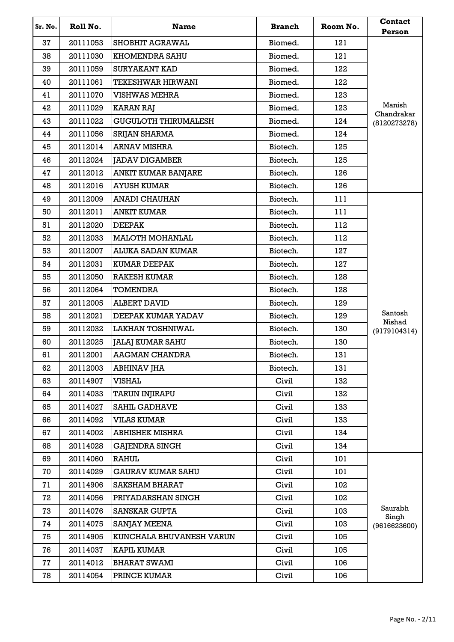| Sr. No. | Roll No. | <b>Name</b>                 | <b>Branch</b> | Room No. | <b>Contact</b><br>Person |
|---------|----------|-----------------------------|---------------|----------|--------------------------|
| 37      | 20111053 | <b>SHOBHIT AGRAWAL</b>      | Biomed.       | 121      |                          |
| 38      | 20111030 | <b>KHOMENDRA SAHU</b>       | Biomed.       | 121      |                          |
| 39      | 20111059 | <b>SURYAKANT KAD</b>        | Biomed.       | 122      |                          |
| 40      | 20111061 | <b>TEKESHWAR HIRWANI</b>    | Biomed.       | 122      |                          |
| 41      | 20111070 | <b>VISHWAS MEHRA</b>        | Biomed.       | 123      |                          |
| 42      | 20111029 | <b>KARAN RAJ</b>            | Biomed.       | 123      | Manish<br>Chandrakar     |
| 43      | 20111022 | <b>GUGULOTH THIRUMALESH</b> | Biomed.       | 124      | (8120273278)             |
| 44      | 20111056 | <b>SRIJAN SHARMA</b>        | Biomed.       | 124      |                          |
| 45      | 20112014 | <b>ARNAV MISHRA</b>         | Biotech.      | 125      |                          |
| 46      | 20112024 | <b>JADAV DIGAMBER</b>       | Biotech.      | 125      |                          |
| 47      | 20112012 | <b>ANKIT KUMAR BANJARE</b>  | Biotech.      | 126      |                          |
| 48      | 20112016 | <b>AYUSH KUMAR</b>          | Biotech.      | 126      |                          |
| 49      | 20112009 | <b>ANADI CHAUHAN</b>        | Biotech.      | 111      |                          |
| 50      | 20112011 | <b>ANKIT KUMAR</b>          | Biotech.      | 111      |                          |
| 51      | 20112020 | <b>DEEPAK</b>               | Biotech.      | 112      |                          |
| 52      | 20112033 | <b>MALOTH MOHANLAL</b>      | Biotech.      | 112      |                          |
| 53      | 20112007 | ALUKA SADAN KUMAR           | Biotech.      | 127      |                          |
| 54      | 20112031 | <b>KUMAR DEEPAK</b>         | Biotech.      | 127      |                          |
| 55      | 20112050 | <b>RAKESH KUMAR</b>         | Biotech.      | 128      |                          |
| 56      | 20112064 | <b>TOMENDRA</b>             | Biotech.      | 128      |                          |
| 57      | 20112005 | <b>ALBERT DAVID</b>         | Biotech.      | 129      |                          |
| 58      | 20112021 | DEEPAK KUMAR YADAV          | Biotech.      | 129      | Santosh<br>Nishad        |
| 59      | 20112032 | <b>LAKHAN TOSHNIWAL</b>     | Biotech.      | 130      | (9179104314)             |
| 60      | 20112025 | <b>JALAJ KUMAR SAHU</b>     | Biotech.      | 130      |                          |
| 61      | 20112001 | <b>AAGMAN CHANDRA</b>       | Biotech.      | 131      |                          |
| 62      | 20112003 | <b>ABHINAV JHA</b>          | Biotech.      | 131      |                          |
| 63      | 20114907 | <b>VISHAL</b>               | Civil         | 132      |                          |
| 64      | 20114033 | <b>TARUN INJIRAPU</b>       | Civil         | 132      |                          |
| 65      | 20114027 | <b>SAHIL GADHAVE</b>        | Civil         | 133      |                          |
| 66      | 20114092 | <b>VILAS KUMAR</b>          | Civil         | 133      |                          |
| 67      | 20114002 | <b>ABHISHEK MISHRA</b>      | Civil         | 134      |                          |
| 68      | 20114028 | <b>GAJENDRA SINGH</b>       | Civil         | 134      |                          |
| 69      | 20114060 | <b>RAHUL</b>                | Civil         | 101      |                          |
| 70      | 20114029 | <b>GAURAV KUMAR SAHU</b>    | Civil         | 101      |                          |
| 71      | 20114906 | <b>SAKSHAM BHARAT</b>       | Civil         | 102      |                          |
| 72      | 20114056 | PRIYADARSHAN SINGH          | Civil         | 102      |                          |
| 73      | 20114076 | <b>SANSKAR GUPTA</b>        | Civil         | 103      | Saurabh<br>Singh         |
| 74      | 20114075 | <b>SANJAY MEENA</b>         | Civil         | 103      | (9616623600)             |
| 75      | 20114905 | KUNCHALA BHUVANESH VARUN    | Civil         | 105      |                          |
| 76      | 20114037 | KAPIL KUMAR                 | Civil         | 105      |                          |
| 77      | 20114012 | <b>BHARAT SWAMI</b>         | Civil         | 106      |                          |
| 78      | 20114054 | PRINCE KUMAR                | Civil         | 106      |                          |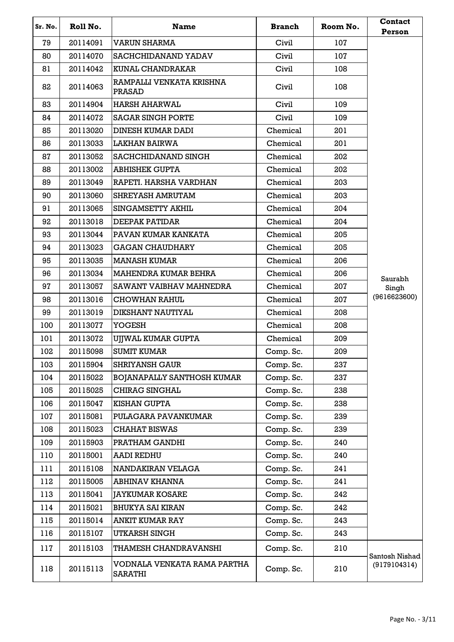| Sr. No. | Roll No. | <b>Name</b>                                   | <b>Branch</b> | Room No. | <b>Contact</b><br>Person |
|---------|----------|-----------------------------------------------|---------------|----------|--------------------------|
| 79      | 20114091 | <b>VARUN SHARMA</b>                           | Civil         | 107      |                          |
| 80      | 20114070 | SACHCHIDANAND YADAV                           | Civil         | 107      |                          |
| 81      | 20114042 | <b>KUNAL CHANDRAKAR</b>                       | Civil         | 108      |                          |
| 82      | 20114063 | RAMPALLI VENKATA KRISHNA<br><b>PRASAD</b>     | Civil         | 108      |                          |
| 83      | 20114904 | <b>HARSH AHARWAL</b>                          | Civil         | 109      |                          |
| 84      | 20114072 | <b>SAGAR SINGH PORTE</b>                      | Civil         | 109      |                          |
| 85      | 20113020 | <b>DINESH KUMAR DADI</b>                      | Chemical      | 201      |                          |
| 86      | 20113033 | <b>LAKHAN BAIRWA</b>                          | Chemical      | 201      |                          |
| 87      | 20113052 | SACHCHIDANAND SINGH                           | Chemical      | 202      |                          |
| 88      | 20113002 | <b>ABHISHEK GUPTA</b>                         | Chemical      | 202      |                          |
| 89      | 20113049 | RAPETI. HARSHA VARDHAN                        | Chemical      | 203      |                          |
| 90      | 20113060 | SHREYASH AMRUTAM                              | Chemical      | 203      |                          |
| 91      | 20113065 | SINGAMSETTY AKHIL                             | Chemical      | 204      |                          |
| 92      | 20113018 | <b>DEEPAK PATIDAR</b>                         | Chemical      | 204      |                          |
| 93      | 20113044 | PAVAN KUMAR KANKATA                           | Chemical      | 205      |                          |
| 94      | 20113023 | <b>GAGAN CHAUDHARY</b>                        | Chemical      | 205      |                          |
| 95      | 20113035 | <b>MANASH KUMAR</b>                           | Chemical      | 206      |                          |
| 96      | 20113034 | <b>MAHENDRA KUMAR BEHRA</b>                   | Chemical      | 206      | Saurabh                  |
| 97      | 20113057 | SAWANT VAIBHAV MAHNEDRA                       | Chemical      | 207      | Singh                    |
| 98      | 20113016 | <b>CHOWHAN RAHUL</b>                          | Chemical      | 207      | (9616623600)             |
| 99      | 20113019 | DIKSHANT NAUTIYAL                             | Chemical      | 208      |                          |
| 100     | 20113077 | <b>YOGESH</b>                                 | Chemical      | 208      |                          |
| 101     | 20113072 | UJJWAL KUMAR GUPTA                            | Chemical      | 209      |                          |
| 102     | 20115098 | <b>SUMIT KUMAR</b>                            | Comp. Sc.     | 209      |                          |
| 103     | 20115904 | <b>SHRIYANSH GAUR</b>                         | Comp. Sc.     | 237      |                          |
| 104     | 20115022 | <b>BOJANAPALLY SANTHOSH KUMAR</b>             | Comp. Sc.     | 237      |                          |
| 105     | 20115025 | CHIRAG SINGHAL                                | Comp. Sc.     | 238      |                          |
| 106     | 20115047 | <b>KISHAN GUPTA</b>                           | Comp. Sc.     | 238      |                          |
| 107     | 20115081 | PULAGARA PAVANKUMAR                           | Comp. Sc.     | 239      |                          |
| 108     | 20115023 | <b>CHAHAT BISWAS</b>                          | Comp. Sc.     | 239      |                          |
| 109     | 20115903 | PRATHAM GANDHI                                | Comp. Sc.     | 240      |                          |
| 110     | 20115001 | <b>AADI REDHU</b>                             | Comp. Sc.     | 240      |                          |
| 111     | 20115108 | NANDAKIRAN VELAGA                             | Comp. Sc.     | 241      |                          |
| 112     | 20115005 | ABHINAV KHANNA                                | Comp. Sc.     | 241      |                          |
| 113     | 20115041 | <b>JAYKUMAR KOSARE</b>                        | Comp. Sc.     | 242      |                          |
| 114     | 20115021 | <b>BHUKYA SAI KIRAN</b>                       | Comp. Sc.     | 242      |                          |
| 115     | 20115014 | <b>ANKIT KUMAR RAY</b>                        | Comp. Sc.     | 243      |                          |
| 116     | 20115107 | <b>UTKARSH SINGH</b>                          | Comp. Sc.     | 243      |                          |
| 117     | 20115103 | THAMESH CHANDRAVANSHI                         | Comp. Sc.     | 210      | Santosh Nishad           |
| 118     | 20115113 | VODNALA VENKATA RAMA PARTHA<br><b>SARATHI</b> | Comp. Sc.     | 210      | (9179104314)             |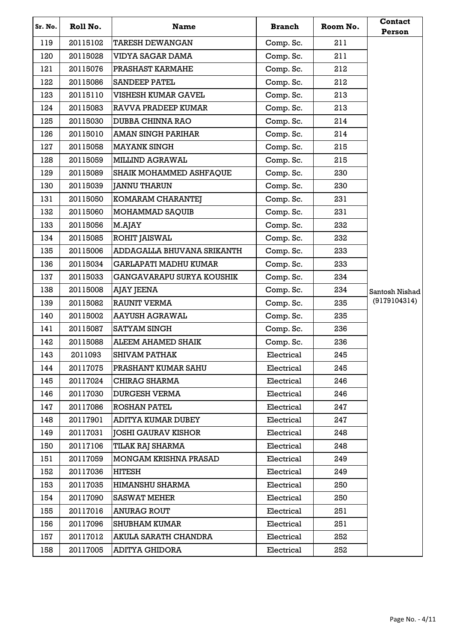| Sr. No. | Roll No. | <b>Name</b>                      | <b>Branch</b> | Room No. | <b>Contact</b><br>Person |
|---------|----------|----------------------------------|---------------|----------|--------------------------|
| 119     | 20115102 | <b>TARESH DEWANGAN</b>           | Comp. Sc.     | 211      |                          |
| 120     | 20115028 | <b>VIDYA SAGAR DAMA</b>          | Comp. Sc.     | 211      |                          |
| 121     | 20115076 | PRASHAST KARMAHE                 | Comp. Sc.     | 212      |                          |
| 122     | 20115086 | <b>SANDEEP PATEL</b>             | Comp. Sc.     | 212      |                          |
| 123     | 20115110 | <b>VISHESH KUMAR GAVEL</b>       | Comp. Sc.     | 213      |                          |
| 124     | 20115083 | RAVVA PRADEEP KUMAR              | Comp. Sc.     | 213      |                          |
| 125     | 20115030 | <b>DUBBA CHINNA RAO</b>          | Comp. Sc.     | 214      |                          |
| 126     | 20115010 | <b>AMAN SINGH PARIHAR</b>        | Comp. Sc.     | 214      |                          |
| 127     | 20115058 | <b>MAYANK SINGH</b>              | Comp. Sc.     | 215      |                          |
| 128     | 20115059 | <b>MILLIND AGRAWAL</b>           | Comp. Sc.     | 215      |                          |
| 129     | 20115089 | SHAIK MOHAMMED ASHFAQUE          | Comp. Sc.     | 230      |                          |
| 130     | 20115039 | <b>JANNU THARUN</b>              | Comp. Sc.     | 230      |                          |
| 131     | 20115050 | KOMARAM CHARANTEJ                | Comp. Sc.     | 231      |                          |
| 132     | 20115060 | MOHAMMAD SAQUIB                  | Comp. Sc.     | 231      |                          |
| 133     | 20115056 | M.AJAY                           | Comp. Sc.     | 232      |                          |
| 134     | 20115085 | <b>ROHIT JAISWAL</b>             | Comp. Sc.     | 232      |                          |
| 135     | 20115006 | ADDAGALLA BHUVANA SRIKANTH       | Comp. Sc.     | 233      |                          |
| 136     | 20115034 | <b>GARLAPATI MADHU KUMAR</b>     | Comp. Sc.     | 233      |                          |
| 137     | 20115033 | <b>GANGAVARAPU SURYA KOUSHIK</b> | Comp. Sc.     | 234      |                          |
| 138     | 20115008 | AJAY JEENA                       | Comp. Sc.     | 234      | Santosh Nishad           |
| 139     | 20115082 | <b>RAUNIT VERMA</b>              | Comp. Sc.     | 235      | (9179104314)             |
| 140     | 20115002 | <b>AAYUSH AGRAWAL</b>            | Comp. Sc.     | 235      |                          |
| 141     | 20115087 | <b>SATYAM SINGH</b>              | Comp. Sc.     | 236      |                          |
| 142     | 20115088 | ALEEM AHAMED SHAIK               | Comp. Sc.     | 236      |                          |
| 143     | 2011093  | <b>SHIVAM PATHAK</b>             | Electrical    | 245      |                          |
| 144     | 20117075 | <b>PRASHANT KUMAR SAHU</b>       | Electrical    | 245      |                          |
| 145     | 20117024 | <b>CHIRAG SHARMA</b>             | Electrical    | 246      |                          |
| 146     | 20117030 | <b>DURGESH VERMA</b>             | Electrical    | 246      |                          |
| 147     | 20117086 | ROSHAN PATEL                     | Electrical    | 247      |                          |
| 148     | 20117901 | ADITYA KUMAR DUBEY               | Electrical    | 247      |                          |
| 149     | 20117031 | <b>JOSHI GAURAV KISHOR</b>       | Electrical    | 248      |                          |
| 150     | 20117106 | TILAK RAJ SHARMA                 | Electrical    | 248      |                          |
| 151     | 20117059 | MONGAM KRISHNA PRASAD            | Electrical    | 249      |                          |
| 152     | 20117036 | HITESH                           | Electrical    | 249      |                          |
| 153     | 20117035 | <b>HIMANSHU SHARMA</b>           | Electrical    | 250      |                          |
| 154     | 20117090 | <b>SASWAT MEHER</b>              | Electrical    | 250      |                          |
| 155     | 20117016 | <b>ANURAG ROUT</b>               | Electrical    | 251      |                          |
| 156     | 20117096 | <b>SHUBHAM KUMAR</b>             | Electrical    | 251      |                          |
| 157     | 20117012 | AKULA SARATH CHANDRA             | Electrical    | 252      |                          |
| 158     | 20117005 | <b>ADITYA GHIDORA</b>            | Electrical    | 252      |                          |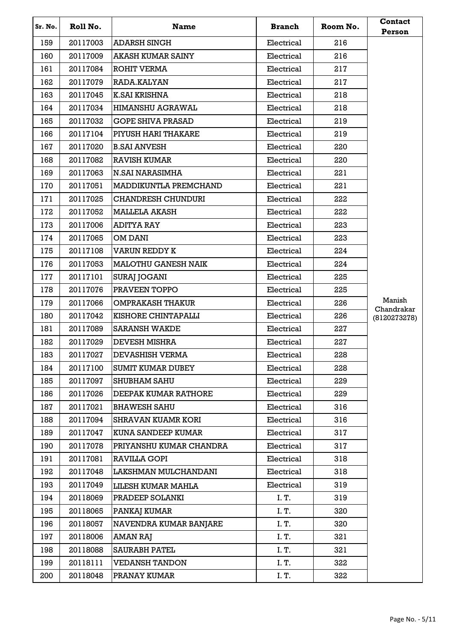| Sr. No. | Roll No. | <b>Name</b>                  | <b>Branch</b> | Room No. | <b>Contact</b><br>Person |
|---------|----------|------------------------------|---------------|----------|--------------------------|
| 159     | 20117003 | <b>ADARSH SINGH</b>          | Electrical    | 216      |                          |
| 160     | 20117009 | <b>AKASH KUMAR SAINY</b>     | Electrical    | 216      |                          |
| 161     | 20117084 | <b>ROHIT VERMA</b>           | Electrical    | 217      |                          |
| 162     | 20117079 | RADA.KALYAN                  | Electrical    | 217      |                          |
| 163     | 20117045 | K.SAI KRISHNA                | Electrical    | 218      |                          |
| 164     | 20117034 | <b>HIMANSHU AGRAWAL</b>      | Electrical    | 218      |                          |
| 165     | 20117032 | <b>GOPE SHIVA PRASAD</b>     | Electrical    | 219      |                          |
| 166     | 20117104 | PIYUSH HARI THAKARE          | Electrical    | 219      |                          |
| 167     | 20117020 | B.SAI ANVESH                 | Electrical    | 220      |                          |
| 168     | 20117082 | <b>RAVISH KUMAR</b>          | Electrical    | 220      |                          |
| 169     | 20117063 | <b>N.SAI NARASIMHA</b>       | Electrical    | 221      |                          |
| 170     | 20117051 | <b>MADDIKUNTLA PREMCHAND</b> | Electrical    | 221      |                          |
| 171     | 20117025 | <b>CHANDRESH CHUNDURI</b>    | Electrical    | 222      |                          |
| 172     | 20117052 | <b>MALLELA AKASH</b>         | Electrical    | 222      |                          |
| 173     | 20117006 | <b>ADITYA RAY</b>            | Electrical    | 223      |                          |
| 174     | 20117065 | <b>OM DANI</b>               | Electrical    | 223      |                          |
| 175     | 20117108 | <b>VARUN REDDY K</b>         | Electrical    | 224      |                          |
| 176     | 20117053 | <b>MALOTHU GANESH NAIK</b>   | Electrical    | 224      |                          |
| 177     | 20117101 | <b>SURAJ JOGANI</b>          | Electrical    | 225      |                          |
| 178     | 20117076 | PRAVEEN TOPPO                | Electrical    | 225      |                          |
| 179     | 20117066 | OMPRAKASH THAKUR             | Electrical    | 226      | Manish<br>Chandrakar     |
| 180     | 20117042 | KISHORE CHINTAPALLI          | Electrical    | 226      | (8120273278)             |
| 181     | 20117089 | <b>SARANSH WAKDE</b>         | Electrical    | 227      |                          |
| 182     | 20117029 | <b>DEVESH MISHRA</b>         | Electrical    | 227      |                          |
| 183     | 20117027 | <b>DEVASHISH VERMA</b>       | Electrical    | 228      |                          |
| 184     | 20117100 | <b>SUMIT KUMAR DUBEY</b>     | Electrical    | 228      |                          |
| 185     | 20117097 | <b>SHUBHAM SAHU</b>          | Electrical    | 229      |                          |
| 186     | 20117026 | <b>DEEPAK KUMAR RATHORE</b>  | Electrical    | 229      |                          |
| 187     | 20117021 | <b>BHAWESH SAHU</b>          | Electrical    | 316      |                          |
| 188     | 20117094 | <b>SHRAVAN KUAMR KORI</b>    | Electrical    | 316      |                          |
| 189     | 20117047 | <b>KUNA SANDEEP KUMAR</b>    | Electrical    | 317      |                          |
| 190     | 20117078 | PRIYANSHU KUMAR CHANDRA      | Electrical    | 317      |                          |
| 191     | 20117081 | RAVILLA GOPI                 | Electrical    | 318      |                          |
| 192     | 20117048 | LAKSHMAN MULCHANDANI         | Electrical    | 318      |                          |
| 193     | 20117049 | <b>LILESH KUMAR MAHLA</b>    | Electrical    | 319      |                          |
| 194     | 20118069 | PRADEEP SOLANKI              | I. T.         | 319      |                          |
| 195     | 20118065 | PANKAJ KUMAR                 | I. T.         | 320      |                          |
| 196     | 20118057 | NAVENDRA KUMAR BANJARE       | I. T.         | 320      |                          |
| 197     | 20118006 | AMAN RAJ                     | I. T.         | 321      |                          |
| 198     | 20118088 | <b>SAURABH PATEL</b>         | I. T.         | 321      |                          |
| 199     | 20118111 | <b>VEDANSH TANDON</b>        | I. T.         | 322      |                          |
| 200     | 20118048 | PRANAY KUMAR                 | I. T.         | 322      |                          |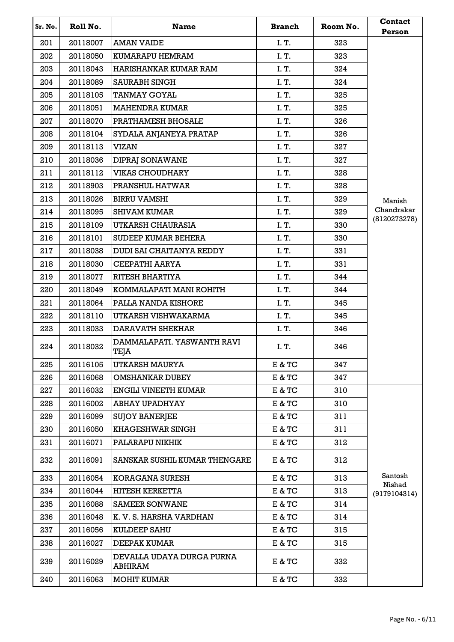| Sr. No. | Roll No. | <b>Name</b>                          | <b>Branch</b> | Room No. | Contact<br>Person      |
|---------|----------|--------------------------------------|---------------|----------|------------------------|
| 201     | 20118007 | <b>AMAN VAIDE</b>                    | I. T.         | 323      |                        |
| 202     | 20118050 | KUMARAPU HEMRAM                      | I. T.         | 323      |                        |
| 203     | 20118043 | <b>HARISHANKAR KUMAR RAM</b>         | I.T.          | 324      |                        |
| 204     | 20118089 | <b>SAURABH SINGH</b>                 | I. T.         | 324      |                        |
| 205     | 20118105 | <b>TANMAY GOYAL</b>                  | I. T.         | 325      |                        |
| 206     | 20118051 | <b>MAHENDRA KUMAR</b>                | I. T.         | 325      |                        |
| 207     | 20118070 | <b>PRATHAMESH BHOSALE</b>            | I. T.         | 326      |                        |
| 208     | 20118104 | SYDALA ANJANEYA PRATAP               | I.T.          | 326      |                        |
| 209     | 20118113 | <b>VIZAN</b>                         | I. T.         | 327      |                        |
| 210     | 20118036 | <b>DIPRAJ SONAWANE</b>               | I. T.         | 327      |                        |
| 211     | 20118112 | <b>VIKAS CHOUDHARY</b>               | I. T.         | 328      |                        |
| 212     | 20118903 | <b>PRANSHUL HATWAR</b>               | I. T.         | 328      |                        |
| 213     | 20118026 | <b>BIRRU VAMSHI</b>                  | I. T.         | 329      | Manish                 |
| 214     | 20118095 | <b>SHIVAM KUMAR</b>                  | I. T.         | 329      | Chandrakar             |
| 215     | 20118109 | UTKARSH CHAURASIA                    | I.T.          | 330      | (8120273278)           |
| 216     | 20118101 | <b>SUDEEP KUMAR BEHERA</b>           | I. T.         | 330      |                        |
| 217     | 20118038 | <b>DUDI SAI CHAITANYA REDDY</b>      | I. T.         | 331      |                        |
| 218     | 20118030 | CEEPATHI AARYA                       | I. T.         | 331      |                        |
| 219     | 20118077 | <b>RITESH BHARTIYA</b>               | I. T.         | 344      |                        |
| 220     | 20118049 | KOMMALAPATI MANI ROHITH              | I. T.         | 344      |                        |
| 221     | 20118064 | PALLA NANDA KISHORE                  | I. T.         | 345      |                        |
| 222     | 20118110 | UTKARSH VISHWAKARMA                  | I.T.          | 345      |                        |
| 223     | 20118033 | <b>DARAVATH SHEKHAR</b>              | I. T.         | 346      |                        |
| 224     | 20118032 | DAMMALAPATI. YASWANTH RAVI<br>TEJA   | I.T.          | 346      |                        |
| 225     | 20116105 | UTKARSH MAURYA                       | E & TC        | 347      |                        |
| 226     | 20116068 | <b>OMSHANKAR DUBEY</b>               | E & TC        | 347      |                        |
| 227     | 20116032 | <b>ENGILI VINEETH KUMAR</b>          | E & TC        | 310      |                        |
| 228     | 20116002 | <b>ABHAY UPADHYAY</b>                | E & TC        | 310      |                        |
| 229     | 20116099 | <b>SUJOY BANERJEE</b>                | E & TC        | 311      |                        |
| 230     | 20116050 | <b>KHAGESHWAR SINGH</b>              | E & TC        | 311      |                        |
| 231     | 20116071 | PALARAPU NIKHIK                      | E & TC        | 312      |                        |
| 232     | 20116091 | SANSKAR SUSHIL KUMAR THENGARE        | E & TC        | 312      |                        |
| 233     | 20116054 | <b>KORAGANA SURESH</b>               | E & TC        | 313      | Santosh                |
| 234     | 20116044 | <b>HITESH KERKETTA</b>               | E & TC        | 313      | Nishad<br>(9179104314) |
| 235     | 20116088 | <b>SAMEER SONWANE</b>                | E & TC        | 314      |                        |
| 236     | 20116048 | K. V. S. HARSHA VARDHAN              | E & TC        | 314      |                        |
| 237     | 20116056 | <b>KULDEEP SAHU</b>                  | E & TC        | 315      |                        |
| 238     | 20116027 | <b>DEEPAK KUMAR</b>                  | E & TC        | 315      |                        |
| 239     | 20116029 | DEVALLA UDAYA DURGA PURNA<br>ABHIRAM | E & TC        | 332      |                        |
| 240     | 20116063 | <b>MOHIT KUMAR</b>                   | E & TC        | 332      |                        |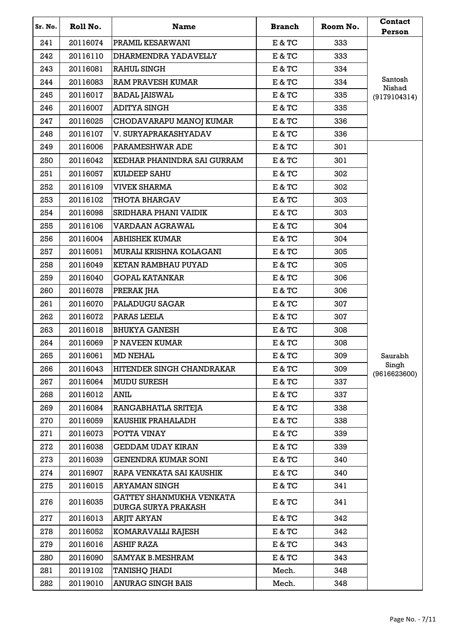| Sr. No. | Roll No. | <b>Name</b>                                                   | <b>Branch</b>                      | Room No. | <b>Contact</b><br>Person |
|---------|----------|---------------------------------------------------------------|------------------------------------|----------|--------------------------|
| 241     | 20116074 | <b>PRAMIL KESARWANI</b>                                       | E & TC                             | 333      |                          |
| 242     | 20116110 | DHARMENDRA YADAVELLY                                          | E & TC                             | 333      |                          |
| 243     | 20116081 | <b>RAHUL SINGH</b>                                            | E & TC                             | 334      |                          |
| 244     | 20116083 | <b>IRAM PRAVESH KUMAR</b>                                     | E & TC                             | 334      | Santosh                  |
| 245     | 20116017 | <b>BADAL JAISWAL</b>                                          | E & TC                             | 335      | Nishad<br>(9179104314)   |
| 246     | 20116007 | <b>ADITYA SINGH</b>                                           | E & TC                             | 335      |                          |
| 247     | 20116025 | CHODAVARAPU MANOJ KUMAR                                       | E & TC                             | 336      |                          |
| 248     | 20116107 | V. SURYAPRAKASHYADAV                                          | E & TC                             | 336      |                          |
| 249     | 20116006 | PARAMESHWAR ADE                                               | E & TC                             | 301      |                          |
| 250     | 20116042 | KEDHAR PHANINDRA SAI GURRAM                                   | E & TC                             | 301      |                          |
| 251     | 20116057 | <b>KULDEEP SAHU</b>                                           | E & TC                             | 302      |                          |
| 252     | 20116109 | <b>VIVEK SHARMA</b>                                           | E & TC                             | 302      |                          |
| 253     | 20116102 | <b>THOTA BHARGAV</b>                                          | E & TC                             | 303      |                          |
| 254     | 20116098 | SRIDHARA PHANI VAIDIK                                         | E & TC                             | 303      |                          |
| 255     | 20116106 | VARDAAN AGRAWAL                                               | E & TC                             | 304      |                          |
| 256     | 20116004 | <b>ABHISHEK KUMAR</b>                                         | E & TC                             | 304      |                          |
| 257     | 20116051 | MURALI KRISHNA KOLAGANI                                       | E & TC                             | 305      |                          |
| 258     | 20116049 | KETAN RAMBHAU PUYAD                                           | E & TC                             | 305      |                          |
| 259     | 20116040 | <b>GOPAL KATANKAR</b>                                         | E & TC                             | 306      |                          |
| 260     | 20116078 | PRERAK JHA                                                    | E & TC                             | 306      |                          |
| 261     | 20116070 | <b>PALADUGU SAGAR</b>                                         | E & TC                             | 307      |                          |
| 262     | 20116072 | PARAS LEELA                                                   | E & TC                             | 307      |                          |
| 263     | 20116018 | <b>BHUKYA GANESH</b>                                          | E & TC                             | 308      |                          |
| 264     | 20116069 | <b>P NAVEEN KUMAR</b>                                         | E & TC                             | 308      |                          |
| 265     | 20116061 | <b>MD NEHAL</b>                                               | E & TC                             | 309      | Saurabh                  |
| 266     | 20116043 | HITENDER SINGH CHANDRAKAR                                     | E & TC                             | 309      | Singh<br>(9616623600)    |
| 267     | 20116064 | <b>MUDU SURESH</b>                                            | $\mathbb E$ & $\mathbb T\mathbb C$ | 337      |                          |
| 268     | 20116012 | ANIL                                                          | E & TC                             | 337      |                          |
| 269     | 20116084 | RANGABHATLA SRITEJA                                           | E & TC                             | 338      |                          |
| 270     | 20116059 | KAUSHIK PRAHALADH                                             | E & TC                             | 338      |                          |
| 271     | 20116073 | POTTA VINAY                                                   | E & TC                             | 339      |                          |
| 272     | 20116038 | <b>GEDDAM UDAY KIRAN</b>                                      | E & TC                             | 339      |                          |
| 273     | 20116039 | <b>GENENDRA KUMAR SONI</b>                                    | E & TC                             | 340      |                          |
| 274     | 20116907 | RAPA VENKATA SAI KAUSHIK                                      | E & TC                             | 340      |                          |
| 275     | 20116015 | <b>ARYAMAN SINGH</b>                                          | E & TC                             | 341      |                          |
| 276     | 20116035 | <b>GATTEY SHANMUKHA VENKATA</b><br><b>DURGA SURYA PRAKASH</b> | E & TC                             | 341      |                          |
| 277     | 20116013 | ARJIT ARYAN                                                   | E & TC                             | 342      |                          |
| 278     | 20116052 | KOMARAVALLI RAJESH                                            | E & TC                             | 342      |                          |
| 279     | 20116016 | <b>ASHIF RAZA</b>                                             | E & TC                             | 343      |                          |
| 280     | 20116090 | <b>SAMYAK B.MESHRAM</b>                                       | E & TC                             | 343      |                          |
| 281     | 20119102 | TANISHQ JHADI                                                 | Mech.                              | 348      |                          |
| 282     | 20119010 | <b>ANURAG SINGH BAIS</b>                                      | Mech.                              | 348      |                          |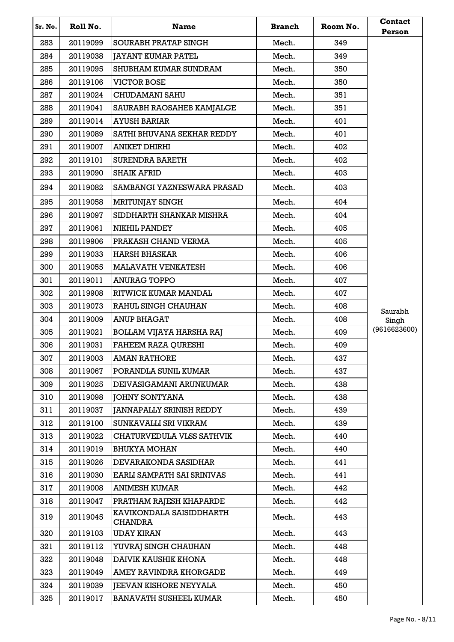| Sr. No. | Roll No. | <b>Name</b>                                | <b>Branch</b> | Room No. | Contact<br>Person |
|---------|----------|--------------------------------------------|---------------|----------|-------------------|
| 283     | 20119099 | <b>SOURABH PRATAP SINGH</b>                | Mech.         | 349      |                   |
| 284     | 20119038 | <b>JAYANT KUMAR PATEL</b>                  | Mech.         | 349      |                   |
| 285     | 20119095 | SHUBHAM KUMAR SUNDRAM                      | Mech.         | 350      |                   |
| 286     | 20119106 | <b>VICTOR BOSE</b>                         | Mech.         | 350      |                   |
| 287     | 20119024 | CHUDAMANI SAHU                             | Mech.         | 351      |                   |
| 288     | 20119041 | <b>SAURABH RAOSAHEB KAMJALGE</b>           | Mech.         | 351      |                   |
| 289     | 20119014 | <b>AYUSH BARIAR</b>                        | Mech.         | 401      |                   |
| 290     | 20119089 | SATHI BHUVANA SEKHAR REDDY                 | Mech.         | 401      |                   |
| 291     | 20119007 | <b>ANIKET DHIRHI</b>                       | Mech.         | 402      |                   |
| 292     | 20119101 | <b>SURENDRA BARETH</b>                     | Mech.         | 402      |                   |
| 293     | 20119090 | <b>SHAIK AFRID</b>                         | Mech.         | 403      |                   |
| 294     | 20119082 | SAMBANGI YAZNESWARA PRASAD                 | Mech.         | 403      |                   |
| 295     | 20119058 | <b>MRITUNJAY SINGH</b>                     | Mech.         | 404      |                   |
| 296     | 20119097 | SIDDHARTH SHANKAR MISHRA                   | Mech.         | 404      |                   |
| 297     | 20119061 | <b>NIKHIL PANDEY</b>                       | Mech.         | 405      |                   |
| 298     | 20119906 | PRAKASH CHAND VERMA                        | Mech.         | 405      |                   |
| 299     | 20119033 | <b>HARSH BHASKAR</b>                       | Mech.         | 406      |                   |
| 300     | 20119055 | <b>MALAVATH VENKATESH</b>                  | Mech.         | 406      |                   |
| 301     | 20119011 | <b>ANURAG TOPPO</b>                        | Mech.         | 407      |                   |
| 302     | 20119908 | RITWICK KUMAR MANDAL                       | Mech.         | 407      |                   |
| 303     | 20119073 | RAHUL SINGH CHAUHAN                        | Mech.         | 408      | Saurabh           |
| 304     | 20119009 | <b>ANUP BHAGAT</b>                         | Mech.         | 408      | Singh             |
| 305     | 20119021 | <b>BOLLAM VIJAYA HARSHA RAJ</b>            | Mech.         | 409      | (9616623600)      |
| 306     | 20119031 | <b>FAHEEM RAZA QURESHI</b>                 | Mech.         | 409      |                   |
| 307     | 20119003 | <b>AMAN RATHORE</b>                        | Mech.         | 437      |                   |
| 308     | 20119067 | PORANDLA SUNIL KUMAR                       | Mech.         | 437      |                   |
| 309     | 20119025 | DEIVASIGAMANI ARUNKUMAR                    | Mech.         | 438      |                   |
| 310     | 20119098 | <b>JOHNY SONTYANA</b>                      | Mech.         | 438      |                   |
| 311     | 20119037 | <b>JANNAPALLY SRINISH REDDY</b>            | Mech.         | 439      |                   |
| 312     | 20119100 | SUNKAVALLI SRI VIKRAM                      | Mech.         | 439      |                   |
| 313     | 20119022 | CHATURVEDULA VLSS SATHVIK                  | Mech.         | 440      |                   |
| 314     | 20119019 | <b>BHUKYA MOHAN</b>                        | Mech.         | 440      |                   |
| 315     | 20119026 | <b>DEVARAKONDA SASIDHAR</b>                | Mech.         | 441      |                   |
| 316     | 20119030 | EARLI SAMPATH SAI SRINIVAS                 | Mech.         | 441      |                   |
| 317     | 20119008 | <b>ANIMESH KUMAR</b>                       | Mech.         | 442      |                   |
| 318     | 20119047 | PRATHAM RAJESH KHAPARDE                    | Mech.         | 442      |                   |
| 319     | 20119045 | KAVIKONDALA SAISIDDHARTH<br><b>CHANDRA</b> | Mech.         | 443      |                   |
| 320     | 20119103 | <b>UDAY KIRAN</b>                          | Mech.         | 443      |                   |
| 321     | 20119112 | YUVRAJ SINGH CHAUHAN                       | Mech.         | 448      |                   |
| 322     | 20119048 | DAIVIK KAUSHIK KHONA                       | Mech.         | 448      |                   |
| 323     | 20119049 | AMEY RAVINDRA KHORGADE                     | Mech.         | 449      |                   |
| 324     | 20119039 | <b>JEEVAN KISHORE NEYYALA</b>              | Mech.         | 450      |                   |
| 325     | 20119017 | <b>BANAVATH SUSHEEL KUMAR</b>              | Mech.         | 450      |                   |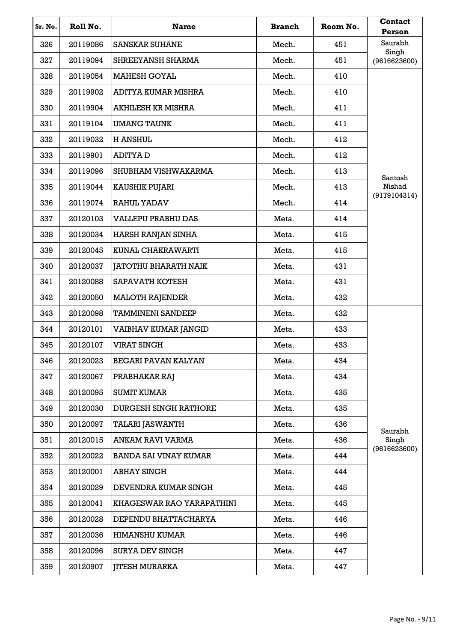| Sr. No. | Roll No. | <b>Name</b>                  | <b>Branch</b> | Room No. | <b>Contact</b><br>Person |
|---------|----------|------------------------------|---------------|----------|--------------------------|
| 326     | 20119086 | <b>SANSKAR SUHANE</b>        | Mech.         | 451      | Saurabh                  |
| 327     | 20119094 | <b>SHREEYANSH SHARMA</b>     | Mech.         | 451      | Singh<br>(9616623600)    |
| 328     | 20119054 | <b>MAHESH GOYAL</b>          | Mech.         | 410      |                          |
| 329     | 20119902 | ADITYA KUMAR MISHRA          | Mech.         | 410      |                          |
| 330     | 20119904 | <b>AKHILESH KR MISHRA</b>    | Mech.         | 411      |                          |
| 331     | 20119104 | <b>UMANG TAUNK</b>           | Mech.         | 411      |                          |
| 332     | 20119032 | <b>H ANSHUL</b>              | Mech.         | 412      |                          |
| 333     | 20119901 | <b>ADITYAD</b>               | Mech.         | 412      |                          |
| 334     | 20119096 | SHUBHAM VISHWAKARMA          | Mech.         | 413      | Santosh                  |
| 335     | 20119044 | <b>KAUSHIK PUJARI</b>        | Mech.         | 413      | Nishad                   |
| 336     | 20119074 | <b>RAHUL YADAV</b>           | Mech.         | 414      | (9179104314)             |
| 337     | 20120103 | <b>VALLEPU PRABHU DAS</b>    | Meta.         | 414      |                          |
| 338     | 20120034 | HARSH RANJAN SINHA           | Meta.         | 415      |                          |
| 339     | 20120045 | KUNAL CHAKRAWARTI            | Meta.         | 415      |                          |
| 340     | 20120037 | <b>JATOTHU BHARATH NAIK</b>  | Meta.         | 431      |                          |
| 341     | 20120088 | <b>SAPAVATH KOTESH</b>       | Meta.         | 431      |                          |
| 342     | 20120050 | <b>MALOTH RAJENDER</b>       | Meta.         | 432      |                          |
| 343     | 20120098 | <b>TAMMINENI SANDEEP</b>     | Meta.         | 432      |                          |
| 344     | 20120101 | VAIBHAV KUMAR JANGID         | Meta.         | 433      |                          |
| 345     | 20120107 | <b>VIRAT SINGH</b>           | Meta.         | 433      |                          |
| 346     | 20120023 | <b>BEGARI PAVAN KALYAN</b>   | Meta.         | 434      |                          |
| 347     | 20120067 | PRABHAKAR RAJ                | Meta.         | 434      |                          |
| 348     | 20120095 | <b>SUMIT KUMAR</b>           | Meta.         | 435      |                          |
| 349     | 20120030 | <b>DURGESH SINGH RATHORE</b> | Meta.         | 435      |                          |
| 350     | 20120097 | <b>TALARI JASWANTH</b>       | Meta.         | 436      | Saurabh                  |
| 351     | 20120015 | <b>ANKAM RAVI VARMA</b>      | Meta.         | 436      | Singh<br>(9616623600)    |
| 352     | 20120022 | <b>BANDA SAI VINAY KUMAR</b> | Meta.         | 444      |                          |
| 353     | 20120001 | <b>ABHAY SINGH</b>           | Meta.         | 444      |                          |
| 354     | 20120029 | DEVENDRA KUMAR SINGH         | Meta.         | 445      |                          |
| 355     | 20120041 | KHAGESWAR RAO YARAPATHINI    | Meta.         | 445      |                          |
| 356     | 20120028 | DEPENDU BHATTACHARYA         | Meta.         | 446      |                          |
| 357     | 20120036 | <b>HIMANSHU KUMAR</b>        | Meta.         | 446      |                          |
| 358     | 20120096 | <b>SURYA DEV SINGH</b>       | Meta.         | 447      |                          |
| 359     | 20120907 | <b>JITESH MURARKA</b>        | Meta.         | 447      |                          |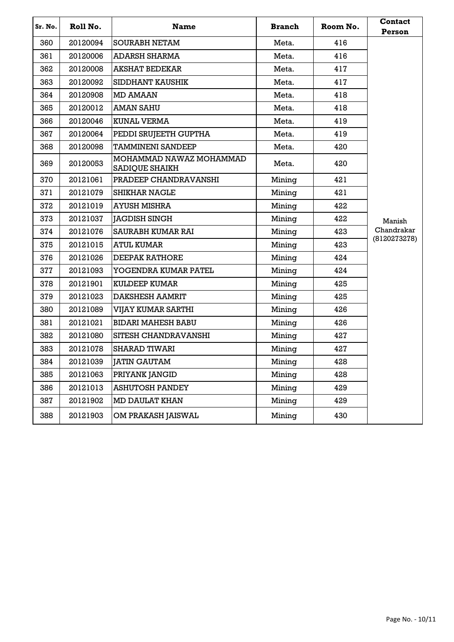| Sr. No. | Roll No. | <b>Name</b>                                      | <b>Branch</b> | Room No. | <b>Contact</b><br>Person |
|---------|----------|--------------------------------------------------|---------------|----------|--------------------------|
| 360     | 20120094 | <b>SOURABH NETAM</b>                             | Meta.         | 416      |                          |
| 361     | 20120006 | ADARSH SHARMA                                    | Meta.         | 416      |                          |
| 362     | 20120008 | <b>AKSHAT BEDEKAR</b>                            | Meta.         | 417      |                          |
| 363     | 20120092 | SIDDHANT KAUSHIK                                 | Meta.         | 417      |                          |
| 364     | 20120908 | <b>MD AMAAN</b>                                  | Meta.         | 418      |                          |
| 365     | 20120012 | <b>AMAN SAHU</b>                                 | Meta.         | 418      |                          |
| 366     | 20120046 | <b>KUNAL VERMA</b>                               | Meta.         | 419      |                          |
| 367     | 20120064 | PEDDI SRUJEETH GUPTHA                            | Meta.         | 419      |                          |
| 368     | 20120098 | <b>TAMMINENI SANDEEP</b>                         | Meta.         | 420      |                          |
| 369     | 20120053 | MOHAMMAD NAWAZ MOHAMMAD<br><b>SADIQUE SHAIKH</b> | Meta.         | 420      |                          |
| 370     | 20121061 | PRADEEP CHANDRAVANSHI                            | Mining        | 421      |                          |
| 371     | 20121079 | <b>SHIKHAR NAGLE</b>                             | Mining        | 421      |                          |
| 372     | 20121019 | AYUSH MISHRA                                     | Mining        | 422      |                          |
| 373     | 20121037 | <b>JAGDISH SINGH</b>                             | Mining        | 422      | Manish                   |
| 374     | 20121076 | <b>SAURABH KUMAR RAI</b>                         | Mining        | 423      | Chandrakar               |
| 375     | 20121015 | ATUL KUMAR                                       | Mining        | 423      | (8120273278)             |
| 376     | 20121026 | <b>DEEPAK RATHORE</b>                            | Mining        | 424      |                          |
| 377     | 20121093 | YOGENDRA KUMAR PATEL                             | Mining        | 424      |                          |
| 378     | 20121901 | <b>KULDEEP KUMAR</b>                             | Mining        | 425      |                          |
| 379     | 20121023 | <b>DAKSHESH AAMRIT</b>                           | Mining        | 425      |                          |
| 380     | 20121089 | VIJAY KUMAR SARTHI                               | Mining        | 426      |                          |
| 381     | 20121021 | <b>BIDARI MAHESH BABU</b>                        | Mining        | 426      |                          |
| 382     | 20121080 | SITESH CHANDRAVANSHI                             | Mining        | 427      |                          |
| 383     | 20121078 | <b>SHARAD TIWARI</b>                             | Mining        | 427      |                          |
| 384     | 20121039 | <b>JATIN GAUTAM</b>                              | Mining        | 428      |                          |
| 385     | 20121063 | PRIYANK JANGID                                   | Mining        | 428      |                          |
| 386     | 20121013 | <b>ASHUTOSH PANDEY</b>                           | Mining        | 429      |                          |
| 387     | 20121902 | <b>MD DAULAT KHAN</b>                            | Mining        | 429      |                          |
| 388     | 20121903 | OM PRAKASH JAISWAL                               | Mining        | 430      |                          |